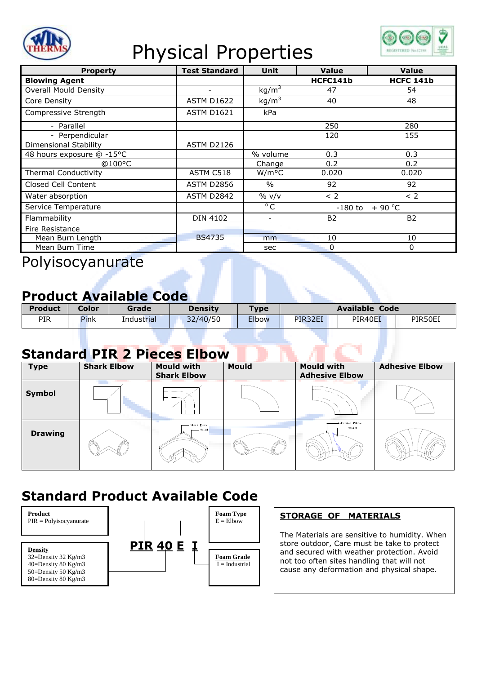

## Physical Properties



| <b>Property</b>              | <b>Test Standard</b>     | <b>Unit</b>        | Value               | <b>Value</b>     |
|------------------------------|--------------------------|--------------------|---------------------|------------------|
| <b>Blowing Agent</b>         |                          |                    | HCFC141b            | <b>HCFC 141b</b> |
| <b>Overall Mould Density</b> | $\overline{\phantom{0}}$ | kg/m <sup>3</sup>  | 47                  | 54               |
| Core Density                 | <b>ASTM D1622</b>        | kg/m <sup>3</sup>  | 40                  | 48               |
| Compressive Strength         | <b>ASTM D1621</b>        | kPa                |                     |                  |
| - Parallel                   |                          |                    | 250                 | 280              |
| - Perpendicular              |                          |                    | 120                 | 155              |
| Dimensional Stability        | <b>ASTM D2126</b>        |                    |                     |                  |
| 48 hours exposure @ -15°C    |                          | % volume           | 0.3                 | 0.3              |
| @100°C                       |                          | Change             | 0.2                 | 0.2              |
| <b>Thermal Conductivity</b>  | ASTM C518                | W/m <sup>o</sup> C | 0.020               | 0.020            |
| Closed Cell Content          | <b>ASTM D2856</b>        | $\frac{0}{0}$      | 92                  | 92               |
| Water absorption             | ASTM D2842               | $\%$ v/v           | < 2                 | < 2              |
| Service Temperature          |                          | $\overline{C}$     | $+90 °C$<br>-180 to |                  |
| Flammability                 | <b>DIN 4102</b>          | $\qquad \qquad -$  | <b>B2</b>           | <b>B2</b>        |
| Fire Resistance              |                          |                    |                     |                  |
| Mean Burn Length             | <b>BS4735</b>            | mm                 | 10                  | 10               |
| Mean Burn Time               |                          | sec                | 0                   | 0                |

Polyisocyanurate

#### **Product Available Code**

| <b>Product</b> | Color | Grade             | Density  | $T$ ype      | <b>Available Code</b> |         |         |
|----------------|-------|-------------------|----------|--------------|-----------------------|---------|---------|
| <b>PIR</b>     | Pink  | <b>Industrial</b> | 32/40/50 | <b>Elbow</b> | PIR32EI               | PIR40EI | PIR50EI |

#### **Standard PIR 2 Pieces Elbow**

| <b>Type</b>    | <b>Shark Elbow</b> | <b>Mould with</b><br><b>Shark Elbow</b> | <b>Mould</b> | <b>Mould with</b><br><b>Adhesive Elbow</b> | <b>Adhesive Elbow</b> |
|----------------|--------------------|-----------------------------------------|--------------|--------------------------------------------|-----------------------|
| Symbol         |                    |                                         |              |                                            |                       |
| <b>Drawing</b> |                    | Shark Elbow<br>- Mould                  |              | Adhesive Elbow<br>- Mould                  |                       |

### **Standard Product Available Code**



#### **STORAGE OF MATERIALS**

The Materials are sensitive to humidity. When store outdoor, Care must be take to protect and secured with weather protection. Avoid not too often sites handling that will not cause any deformation and physical shape.